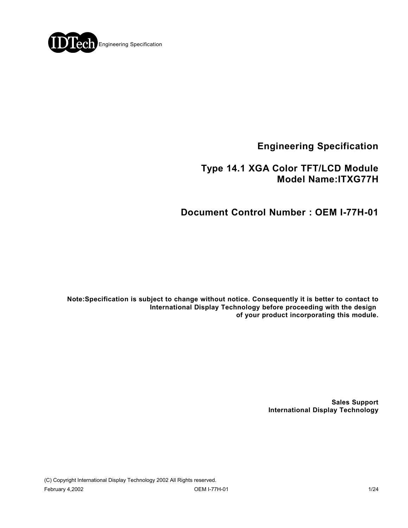

**Engineering Specification**

## **Type 14.1 XGA Color TFT/LCD Module Model Name:ITXG77H**

# **Document Control Number : OEM I-77H-01**

**Note:Specification is subject to change without notice. Consequently it is better to contact to International Display Technology before proceeding with the design of your product incorporating this module.**

> **Sales Support International Display Technology**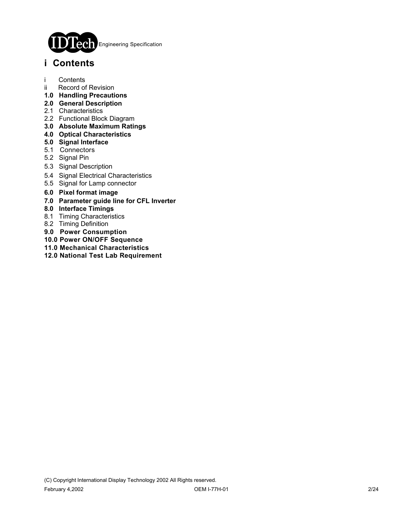

## **i Contents**

- i Contents
- ii Record of Revision
- **1.0 Handling Precautions**
- **2.0 General Description**
- 2.1 Characteristics
- 2.2 Functional Block Diagram
- **3.0 Absolute Maximum Ratings**
- **4.0 Optical Characteristics**
- **5.0 Signal Interface**
- 5.1 Connectors
- 5.2 Signal Pin
- 5.3 Signal Description
- 5.4 Signal Electrical Characteristics
- 5.5 Signal for Lamp connector
- **6.0 Pixel format image**
- **7.0 Parameter guide line for CFL Inverter**
- **8.0 Interface Timings**
- 8.1 Timing Characteristics
- 8.2 Timing Definition
- **9.0 Power Consumption**
- **10.0 Power ON/OFF Sequence**
- **11.0 Mechanical Characteristics**
- **12.0 National Test Lab Requirement**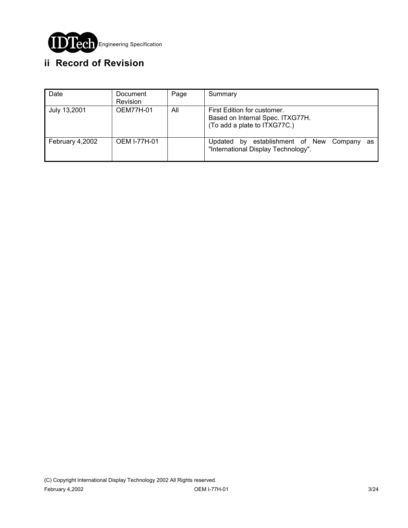

# **ii Record of Revision**

| Date            | Document<br>Revision | Page | Summary                                                                                         |
|-----------------|----------------------|------|-------------------------------------------------------------------------------------------------|
| July 13,2001    | <b>OEM77H-01</b>     | All  | First Edition for customer.<br>Based on Internal Spec. ITXG77H.<br>(To add a plate to ITXG77C.) |
| February 4,2002 | <b>OEM I-77H-01</b>  |      | establishment of New<br>Company<br>Updated<br>bv<br>as<br>"International Display Technology".   |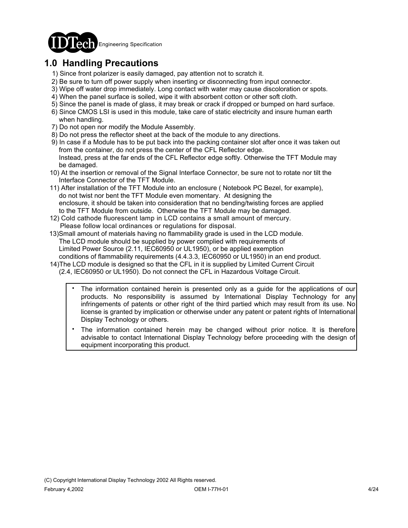

# **1.0 Handling Precautions**

- 1) Since front polarizer is easily damaged, pay attention not to scratch it.
- 2) Be sure to turn off power supply when inserting or disconnecting from input connector.
- 3) Wipe off water drop immediately. Long contact with water may cause discoloration or spots.
- 4) When the panel surface is soiled, wipe it with absorbent cotton or other soft cloth.
- 5) Since the panel is made of glass, it may break or crack if dropped or bumped on hard surface.
- 6) Since CMOS LSI is used in this module, take care of static electricity and insure human earth when handling.
- 7) Do not open nor modify the Module Assembly.
- 8) Do not press the reflector sheet at the back of the module to any directions.
- 9) In case if a Module has to be put back into the packing container slot after once it was taken out from the container, do not press the center of the CFL Reflector edge. Instead, press at the far ends of the CFL Reflector edge softly. Otherwise the TFT Module may be damaged.
- 10) At the insertion or removal of the Signal Interface Connector, be sure not to rotate nor tilt the Interface Connector of the TFT Module.
- 11) After installation of the TFT Module into an enclosure ( Notebook PC Bezel, for example), do not twist nor bent the TFT Module even momentary. At designing the enclosure, it should be taken into consideration that no bending/twisting forces are applied to the TFT Module from outside. Otherwise the TFT Module may be damaged.
- 12) Cold cathode fluorescent lamp in LCD contains a small amount of mercury. Please follow local ordinances or regulations for disposal.
- 13)Small amount of materials having no flammability grade is used in the LCD module. The LCD module should be supplied by power complied with requirements of Limited Power Source (2.11, IEC60950 or UL1950), or be applied exemption conditions of flammability requirements (4.4.3.3, IEC60950 or UL1950) in an end product.
- 14)The LCD module is designed so that the CFL in it is supplied by Limited Current Circuit (2.4, IEC60950 or UL1950). Do not connect the CFL in Hazardous Voltage Circuit.
	- The information contained herein is presented only as a guide for the applications of our products. No responsibility is assumed by International Display Technology for any infringements of patents or other right of the third partied which may result from its use. No license is granted by implication or otherwise under any patent or patent rights of International Display Technology or others. .
	- The information contained herein may be changed without prior notice. It is therefore advisable to contact International Display Technology before proceeding with the design of equipment incorporating this product. .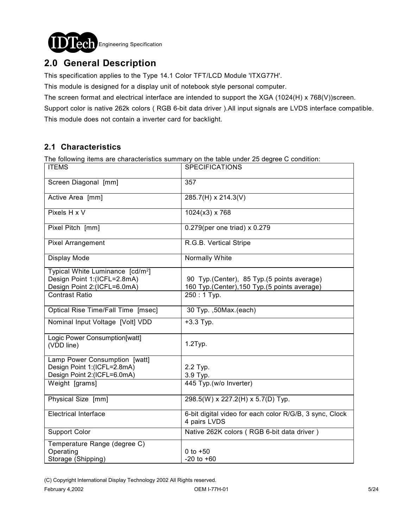

# **2.0 General Description**

This specification applies to the Type 14.1 Color TFT/LCD Module 'ITXG77H'.

This module is designed for a display unit of notebook style personal computer.

The screen format and electrical interface are intended to support the XGA (1024(H) x 768(V))screen.

Support color is native 262k colors ( RGB 6-bit data driver ).All input signals are LVDS interface compatible. This module does not contain a inverter card for backlight.

### **2.1 Characteristics**

The following items are characteristics summary on the table under 25 degree C condition:

| <b>ITEMS</b>                                                                                               | <b>SPECIFICATIONS</b>                                                                        |
|------------------------------------------------------------------------------------------------------------|----------------------------------------------------------------------------------------------|
| Screen Diagonal [mm]                                                                                       | 357                                                                                          |
| Active Area [mm]                                                                                           | 285.7(H) x 214.3(V)                                                                          |
| Pixels H x V                                                                                               | $1024(x3)$ x 768                                                                             |
| Pixel Pitch [mm]                                                                                           | 0.279(per one triad) x 0.279                                                                 |
| Pixel Arrangement                                                                                          | R.G.B. Vertical Stripe                                                                       |
| Display Mode                                                                                               | Normally White                                                                               |
| Typical White Luminance [cd/m <sup>2</sup> ]<br>Design Point 1:(ICFL=2.8mA)<br>Design Point 2:(ICFL=6.0mA) | 90 Typ. (Center), 85 Typ. (5 points average)<br>160 Typ.(Center), 150 Typ.(5 points average) |
| <b>Contrast Ratio</b>                                                                                      | 250: 1 Typ.                                                                                  |
| Optical Rise Time/Fall Time [msec]                                                                         | 30 Typ. , 50 Max. (each)                                                                     |
| Nominal Input Voltage [Volt] VDD                                                                           | $+3.3$ Typ.                                                                                  |
| Logic Power Consumption[watt]<br>(VDD line)                                                                | 1.2Typ.                                                                                      |
| Lamp Power Consumption [watt]<br>Design Point 1:(ICFL=2.8mA)<br>Design Point 2:(ICFL=6.0mA)                | 2.2 Typ.<br>3.9 Typ.                                                                         |
| Weight [grams]                                                                                             | 445 Typ.(w/o Inverter)                                                                       |
| Physical Size [mm]                                                                                         | 298.5(W) x 227.2(H) x 5.7(D) Typ.                                                            |
| <b>Electrical Interface</b>                                                                                | 6-bit digital video for each color R/G/B, 3 sync, Clock<br>4 pairs LVDS                      |
| <b>Support Color</b>                                                                                       | Native 262K colors (RGB 6-bit data driver)                                                   |
| Temperature Range (degree C)<br>Operating<br>Storage (Shipping)                                            | 0 to $+50$<br>$-20$ to $+60$                                                                 |

(C) Copyright International Display Technology 2002 All Rights reserved.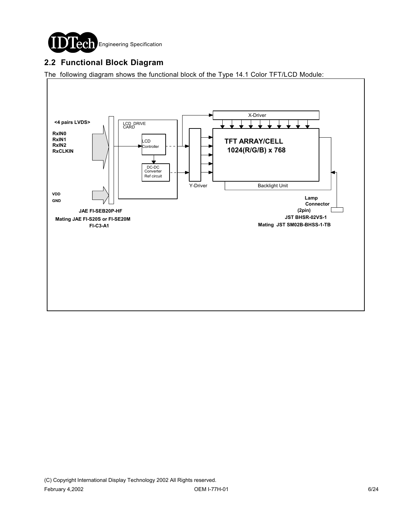

### **2.2 Functional Block Diagram**

The following diagram shows the functional block of the Type 14.1 Color TFT/LCD Module:

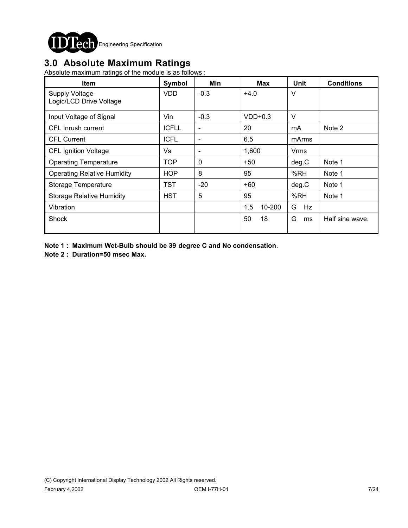

## **3.0 Absolute Maximum Ratings**

Absolute maximum ratings of the module is as follows :

| <b>Item</b>                                      | Symbol       | Min                      | <b>Max</b>    | <b>Unit</b> | <b>Conditions</b> |
|--------------------------------------------------|--------------|--------------------------|---------------|-------------|-------------------|
| <b>Supply Voltage</b><br>Logic/LCD Drive Voltage | <b>VDD</b>   | $-0.3$                   | $+4.0$        | V           |                   |
| Input Voltage of Signal                          | Vin          | $-0.3$                   | $VDD+0.3$     | $\vee$      |                   |
| CFL Inrush current                               | <b>ICFLL</b> | $\overline{\phantom{a}}$ | 20            | mA          | Note 2            |
| <b>CFL Current</b>                               | <b>ICFL</b>  | $\overline{\phantom{a}}$ | 6.5           | mArms       |                   |
| <b>CFL Ignition Voltage</b>                      | Vs           | $\overline{\phantom{a}}$ | 1,600         | Vrms        |                   |
| <b>Operating Temperature</b>                     | TOP          | 0                        | $+50$         | deg.C       | Note 1            |
| <b>Operating Relative Humidity</b>               | <b>HOP</b>   | 8                        | 95            | %RH         | Note 1            |
| Storage Temperature                              | TST          | $-20$                    | +60           | deg.C       | Note 1            |
| <b>Storage Relative Humidity</b>                 | <b>HST</b>   | 5                        | 95            | %RH         | Note 1            |
| Vibration                                        |              |                          | 1.5<br>10-200 | G<br>Hz     |                   |
| Shock                                            |              |                          | 50<br>18      | G<br>ms     | Half sine wave.   |

**Note 1 : Maximum Wet-Bulb should be 39 degree C and No condensation**.

**Note 2 : Duration=50 msec Max.**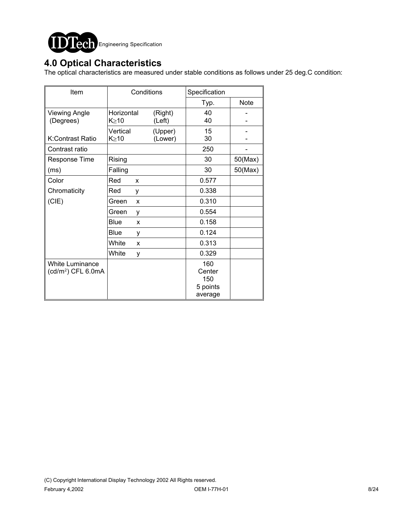

## **4.0 Optical Characteristics**

The optical characteristics are measured under stable conditions as follows under 25 deg.C condition:

| Item                                                     | Conditions              |   | Specification      |                                             |         |
|----------------------------------------------------------|-------------------------|---|--------------------|---------------------------------------------|---------|
|                                                          |                         |   | Typ.               | <b>Note</b>                                 |         |
| <b>Viewing Angle</b><br>(Degrees)                        | Horizontal<br>K≥10      |   | (Right)<br>(Left)  | 40<br>40                                    |         |
| K:Contrast Ratio                                         | Vertical<br>$K \geq 10$ |   | (Upper)<br>(Lower) | 15<br>30                                    |         |
| Contrast ratio                                           |                         |   |                    | 250                                         |         |
| <b>Response Time</b>                                     | Rising                  |   |                    | 30                                          | 50(Max) |
| (ms)                                                     | Falling                 |   |                    | 30                                          | 50(Max) |
| Color                                                    | Red                     | X |                    | 0.577                                       |         |
| Chromaticity                                             | Red                     | у |                    | 0.338                                       |         |
| (CIE)                                                    | Green                   | X |                    | 0.310                                       |         |
|                                                          | Green                   | у |                    | 0.554                                       |         |
|                                                          | Blue                    | X |                    | 0.158                                       |         |
|                                                          | Blue                    | у |                    | 0.124                                       |         |
|                                                          | White                   | X |                    | 0.313                                       |         |
|                                                          | White                   | у |                    | 0.329                                       |         |
| <b>White Luminance</b><br>(cd/m <sup>2</sup> ) CFL 6.0mA |                         |   |                    | 160<br>Center<br>150<br>5 points<br>average |         |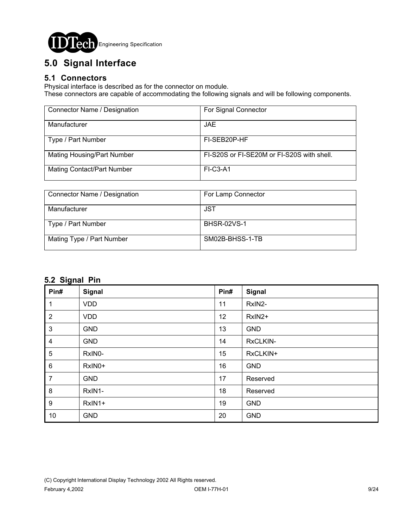

# **5.0 Signal Interface**

#### **5.1 Connectors**

Physical interface is described as for the connector on module.

These connectors are capable of accommodating the following signals and will be following components.

| Connector Name / Designation      | For Signal Connector                       |
|-----------------------------------|--------------------------------------------|
| Manufacturer                      | <b>JAE</b>                                 |
| Type / Part Number                | FI-SEB20P-HF                               |
| <b>Mating Housing/Part Number</b> | FI-S20S or FI-SE20M or FI-S20S with shell. |
| <b>Mating Contact/Part Number</b> | $FI-C3-A1$                                 |

| Connector Name / Designation | For Lamp Connector |
|------------------------------|--------------------|
|                              |                    |
| Manufacturer                 | JST                |
|                              |                    |
| Type / Part Number           | <b>BHSR-02VS-1</b> |
|                              |                    |
| Mating Type / Part Number    | SM02B-BHSS-1-TB    |
|                              |                    |
|                              |                    |

### **5.2 Signal Pin**

| ∼<br>Pin#        | Signal     | Pin# | Signal     |
|------------------|------------|------|------------|
| 1                | <b>VDD</b> | 11   | RxIN2-     |
| $\overline{2}$   | <b>VDD</b> | 12   | RxIN2+     |
| $\mathbf{3}$     | <b>GND</b> | 13   | <b>GND</b> |
| 4                | <b>GND</b> | 14   | RxCLKIN-   |
| 5                | RxIN0-     | 15   | RxCLKIN+   |
| $\,6\,$          | RxIN0+     | 16   | <b>GND</b> |
| $\overline{7}$   | <b>GND</b> | 17   | Reserved   |
| $\bf 8$          | RxIN1-     | 18   | Reserved   |
| $\boldsymbol{9}$ | RxIN1+     | 19   | <b>GND</b> |
| 10               | <b>GND</b> | 20   | <b>GND</b> |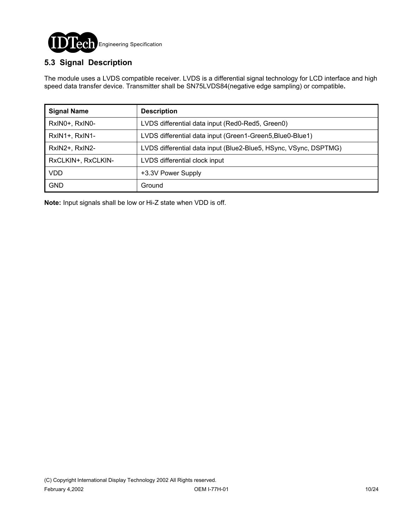

### **5.3 Signal Description**

The module uses a LVDS compatible receiver. LVDS is a differential signal technology for LCD interface and high speed data transfer device. Transmitter shall be SN75LVDS84(negative edge sampling) or compatible**.**

| <b>Signal Name</b> | <b>Description</b>                                               |
|--------------------|------------------------------------------------------------------|
| RxIN0+, RxIN0-     | LVDS differential data input (Red0-Red5, Green0)                 |
| RxIN1+, RxIN1-     | LVDS differential data input (Green1-Green5, Blue0-Blue1)        |
| RxIN2+, RxIN2-     | LVDS differential data input (Blue2-Blue5, HSync, VSync, DSPTMG) |
| RxCLKIN+, RxCLKIN- | LVDS differential clock input                                    |
| <b>VDD</b>         | +3.3V Power Supply                                               |
| <b>GND</b>         | Ground                                                           |

**Note:** Input signals shall be low or Hi-Z state when VDD is off.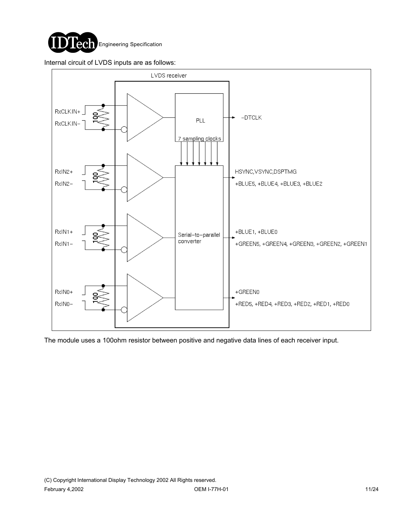

Internal circuit of LVDS inputs are as follows:



The module uses a 100ohm resistor between positive and negative data lines of each receiver input.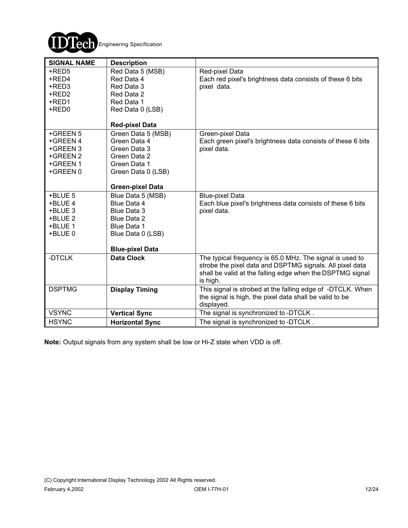

| <b>SIGNAL NAME</b> | <b>Description</b>             |                                                                             |
|--------------------|--------------------------------|-----------------------------------------------------------------------------|
| +RED5<br>+RED4     | Red Data 5 (MSB)<br>Red Data 4 | Red-pixel Data<br>Each red pixel's brightness data consists of these 6 bits |
| +RED3              | Red Data 3                     | pixel data.                                                                 |
| +RED2              | Red Data 2                     |                                                                             |
| +RED1              | Red Data 1                     |                                                                             |
| +RED0              | Red Data 0 (LSB)               |                                                                             |
|                    | <b>Red-pixel Data</b>          |                                                                             |
| +GREEN 5           | Green Data 5 (MSB)             | Green-pixel Data                                                            |
| +GREEN 4           | Green Data 4                   | Each green pixel's brightness data consists of these 6 bits                 |
| +GREEN 3           | Green Data 3                   | pixel data.                                                                 |
| +GREEN 2           | Green Data 2                   |                                                                             |
| +GREEN 1           | Green Data 1                   |                                                                             |
| +GREEN 0           | Green Data 0 (LSB)             |                                                                             |
|                    | <b>Green-pixel Data</b>        |                                                                             |
| +BLUE 5            | Blue Data 5 (MSB)              | <b>Blue-pixel Data</b>                                                      |
| +BLUE 4            | Blue Data 4                    | Each blue pixel's brightness data consists of these 6 bits                  |
| +BLUE 3            | Blue Data 3                    | pixel data.                                                                 |
| +BLUE 2            | Blue Data 2                    |                                                                             |
| +BLUE 1            | Blue Data 1                    |                                                                             |
| +BLUE 0            | Blue Data 0 (LSB)              |                                                                             |
|                    |                                |                                                                             |
|                    | <b>Blue-pixel Data</b>         |                                                                             |
| -DTCLK             | <b>Data Clock</b>              | The typical frequency is 65.0 MHz. The signal is used to                    |
|                    |                                | strobe the pixel data and DSPTMG signals. All pixel data                    |
|                    |                                | shall be valid at the falling edge when the DSPTMG signal                   |
|                    |                                | is high.                                                                    |
| <b>DSPTMG</b>      | <b>Display Timing</b>          | This signal is strobed at the falling edge of -DTCLK. When                  |
|                    |                                | the signal is high, the pixel data shall be valid to be                     |
| <b>VSYNC</b>       |                                | displayed.<br>The signal is synchronized to -DTCLK.                         |
|                    | <b>Vertical Sync</b>           |                                                                             |
| <b>HSYNC</b>       | <b>Horizontal Sync</b>         | The signal is synchronized to -DTCLK.                                       |

**Note:** Output signals from any system shall be low or Hi-Z state when VDD is off.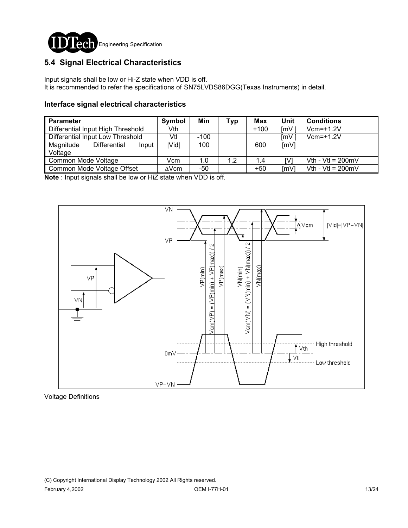

### **5.4 Signal Electrical Characteristics**

Input signals shall be low or Hi-Z state when VDD is off. It is recommended to refer the specifications of SN75LVDS86DGG(Texas Instruments) in detail.

#### **Interface signal electrical characteristics**

| <b>Parameter</b>                  |                            | Symbol       | Min    | Typ | Max    | Unit | <b>Conditions</b>           |
|-----------------------------------|----------------------------|--------------|--------|-----|--------|------|-----------------------------|
| Differential Input High Threshold |                            | Vth          |        |     | $+100$ | ImV  | $Vcm=+1.2V$                 |
| Differential Input Low Threshold  |                            | Vtl          | $-100$ |     |        | [mV  | $Vcm=+1.2V$                 |
| Magnitude<br>Voltage              | Differential<br>Input      | <b>IVidl</b> | 100    |     | 600    | [mV] |                             |
| Common Mode Voltage               |                            | Vcm          | 1.0    | 1.2 | 1.4    | IV.  | Vth - Vtl = $200 \text{mV}$ |
|                                   | Common Mode Voltage Offset | ∆Vcm         | -50    |     | $+50$  | ImVI | Vth - Vtl = $200 \text{mV}$ |

**Note** : Input signals shall be low or HiZ state when VDD is off.



Voltage Definitions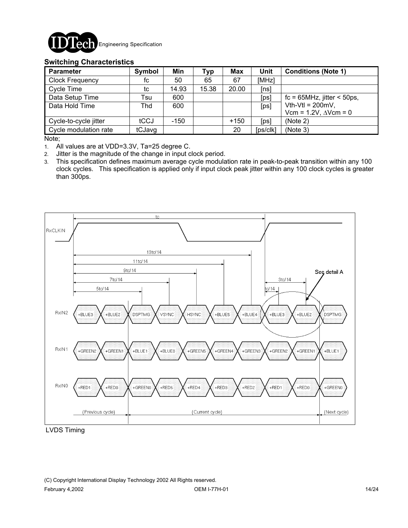

#### **Switching Characteristics**

| <b>Parameter</b>       | Symbol | Min    | <b>Typ</b> | <b>Max</b> | Unit     | <b>Conditions (Note 1)</b>       |
|------------------------|--------|--------|------------|------------|----------|----------------------------------|
| <b>Clock Frequency</b> | fc     | 50     | 65         | 67         | [MHz]    |                                  |
| Cycle Time             | tc     | 14.93  | 15.38      | 20.00      | [ns]     |                                  |
| Data Setup Time        | Tsu    | 600    |            |            | [ps]     | $fc = 65 MHz$ , jitter < 50ps,   |
| Data Hold Time         | Thd    | 600    |            |            | [ps]     | Vth-Vtl = $200mV$ ,              |
|                        |        |        |            |            |          | Vcm = $1.2V$ , $\Delta V$ cm = 0 |
| Cycle-to-cycle jitter  | tCCJ   | $-150$ |            | $+150$     | [ps]     | (Note 2)                         |
| Cycle modulation rate  | tCJavg |        |            | 20         | [ps/clk] | (Note 3)                         |

Note;

1. All values are at VDD=3.3V, Ta=25 degree C.

2. Jitter is the magnitude of the change in input clock period.

3. This specification defines maximum average cycle modulation rate in peak-to-peak transition within any 100 clock cycles. This specification is applied only if input clock peak jitter within any 100 clock cycles is greater than 300ps.



LVDS Timing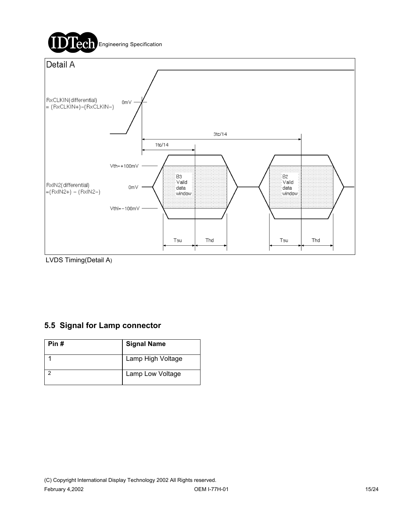

LVDS Timing(Detail A)

### **5.5 Signal for Lamp connector**

| Pin # | <b>Signal Name</b> |
|-------|--------------------|
|       | Lamp High Voltage  |
|       | Lamp Low Voltage   |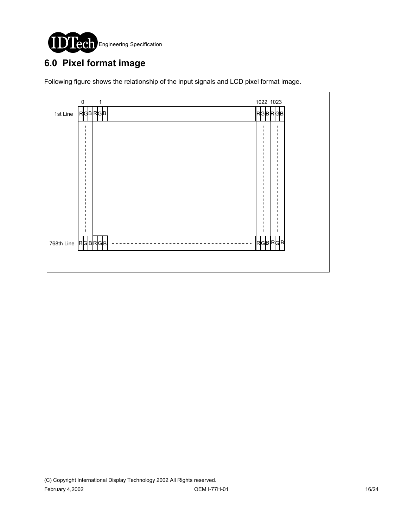

# **6.0 Pixel format image**

Following figure shows the relationship of the input signals and LCD pixel format image.

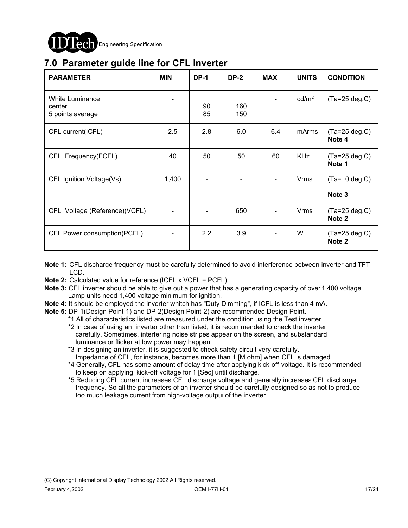

## **7.0 Parameter guide line for CFL Inverter**

| <b>PARAMETER</b>                              | <b>MIN</b> | <b>DP-1</b> | <b>DP-2</b> | <b>MAX</b> | <b>UNITS</b>      | <b>CONDITION</b>                      |
|-----------------------------------------------|------------|-------------|-------------|------------|-------------------|---------------------------------------|
| White Luminance<br>center<br>5 points average |            | 90<br>85    | 160<br>150  |            | cd/m <sup>2</sup> | $(Ta=25 deg.C)$                       |
| CFL current(ICFL)                             | 2.5        | 2.8         | 6.0         | 6.4        | mArms             | $(Ta=25 deg.C)$<br>Note 4             |
| CFL Frequency(FCFL)                           | 40         | 50          | 50          | 60         | <b>KHz</b>        | $(Ta=25 \deg.C)$<br>Note 1            |
| CFL Ignition Voltage(Vs)                      | 1,400      |             |             |            | <b>Vrms</b>       | $(Ta= 0 deg.C)$<br>Note 3             |
| CFL Voltage (Reference)(VCFL)                 |            |             | 650         |            | Vrms              | $(Ta=25 \deg.C)$<br>Note <sub>2</sub> |
| CFL Power consumption(PCFL)                   |            | 2.2         | 3.9         |            | W                 | $(Ta=25 deg.C)$<br>Note 2             |

- **Note 1:** CFL discharge frequency must be carefully determined to avoid interference between inverter and TFT LCD.
- **Note 2:** Calculated value for reference (ICFL x VCFL = PCFL).
- **Note 3:** CFL inverter should be able to give out a power that has a generating capacity of over 1,400 voltage. Lamp units need 1,400 voltage minimum for ignition.
- **Note 4:** It should be employed the inverter whitch has "Duty Dimming", if ICFL is less than 4 mA.
- **Note 5:** DP-1(Design Point-1) and DP-2(Design Point-2) are recommended Design Point.

\*1 All of characteristics listed are measured under the condition using the Test inverter.

- \*2 In case of using an inverter other than listed, it is recommended to check the inverter carefully. Sometimes, interfering noise stripes appear on the screen, and substandard luminance or flicker at low power may happen.
- \*3 In designing an inverter, it is suggested to check safety circuit very carefully. Impedance of CFL, for instance, becomes more than 1 [M ohm] when CFL is damaged.
- \*4 Generally, CFL has some amount of delay time after applying kick-off voltage. It is recommended to keep on applying kick-off voltage for 1 [Sec] until discharge.
- \*5 Reducing CFL current increases CFL discharge voltage and generally increases CFL discharge frequency. So all the parameters of an inverter should be carefully designed so as not to produce too much leakage current from high-voltage output of the inverter.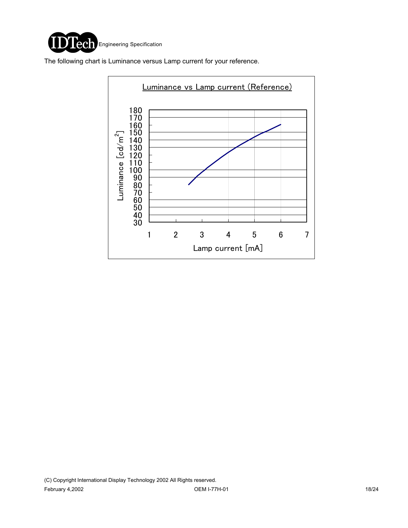

The following chart is Luminance versus Lamp current for your reference.

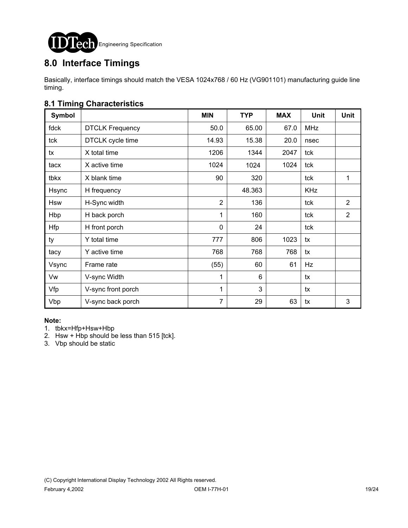

# **8.0 Interface Timings**

Basically, interface timings should match the VESA 1024x768 / 60 Hz (VG901101) manufacturing guide line timing.

### **8.1 Timing Characteristics**

| <b>Symbol</b> |                        | <b>MIN</b>     | <b>TYP</b> | <b>MAX</b> | <b>Unit</b> | <b>Unit</b>    |
|---------------|------------------------|----------------|------------|------------|-------------|----------------|
| fdck          | <b>DTCLK Frequency</b> | 50.0           | 65.00      | 67.0       | <b>MHz</b>  |                |
| tck           | DTCLK cycle time       | 14.93          | 15.38      | 20.0       | nsec        |                |
| tx            | X total time           | 1206           | 1344       | 2047       | tck         |                |
| tacx          | X active time          | 1024           | 1024       | 1024       | tck         |                |
| tbkx          | X blank time           | 90             | 320        |            | tck         | 1              |
| Hsync         | H frequency            |                | 48.363     |            | <b>KHz</b>  |                |
| <b>Hsw</b>    | H-Sync width           | $\overline{2}$ | 136        |            | tck         | $\overline{2}$ |
| Hbp           | H back porch           | 1              | 160        |            | tck         | $\overline{2}$ |
| <b>Hfp</b>    | H front porch          | $\mathbf{0}$   | 24         |            | tck         |                |
| ty            | Y total time           | 777            | 806        | 1023       | tx          |                |
| tacy          | Y active time          | 768            | 768        | 768        | tx          |                |
| Vsync         | Frame rate             | (55)           | 60         | 61         | Hz          |                |
| Vw            | V-sync Width           | 1              | 6          |            | tx          |                |
| Vfp           | V-sync front porch     | 1              | 3          |            | tx          |                |
| Vbp           | V-sync back porch      | 7              | 29         | 63         | tx          | 3              |

#### **Note:**

- 1. tbkx=Hfp+Hsw+Hbp
- 2. Hsw + Hbp should be less than  $515$  [tck].
- 3. Vbp should be static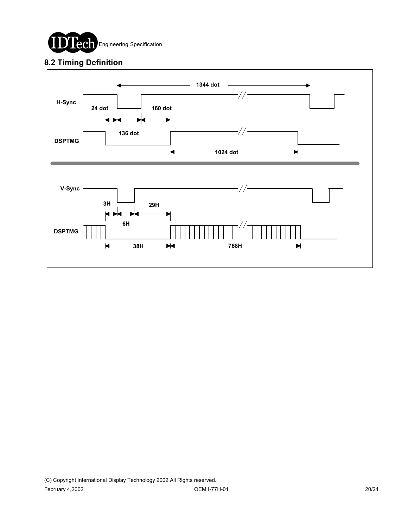

### **8.2 Timing Definition**

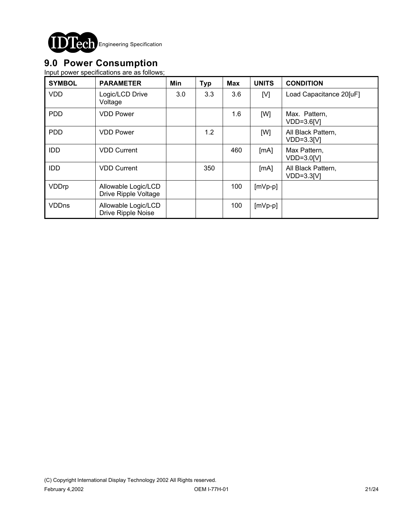

## **9.0 Power Consumption**

Input power specifications are as follows;

| <b>SYMBOL</b> | <b>PARAMETER</b>                            | Min | <b>Typ</b> | <b>Max</b> | <b>UNITS</b> | <b>CONDITION</b>                   |
|---------------|---------------------------------------------|-----|------------|------------|--------------|------------------------------------|
| <b>VDD</b>    | Logic/LCD Drive<br>Voltage                  | 3.0 | 3.3        | 3.6        | [V]          | Load Capacitance 20[uF]            |
| <b>PDD</b>    | <b>VDD Power</b>                            |     |            | 1.6        | [W]          | Max. Pattern,<br>$VDD=3.6[V]$      |
| <b>PDD</b>    | <b>VDD Power</b>                            |     | 1.2        |            | [W]          | All Black Pattern,<br>$VDD=3.3[V]$ |
| <b>IDD</b>    | <b>VDD Current</b>                          |     |            | 460        | [mA]         | Max Pattern,<br>$VDD=3.0[V]$       |
| <b>IDD</b>    | <b>VDD Current</b>                          |     | 350        |            | [mA]         | All Black Pattern,<br>$VDD=3.3[V]$ |
| VDDrp         | Allowable Logic/LCD<br>Drive Ripple Voltage |     |            | 100        | $[mVp-p]$    |                                    |
| <b>VDDns</b>  | Allowable Logic/LCD<br>Drive Ripple Noise   |     |            | 100        | $[mVp-p]$    |                                    |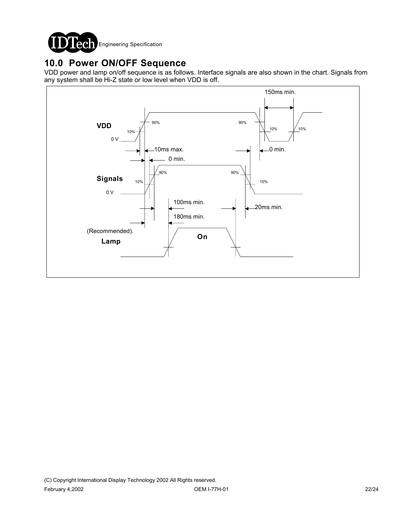

## **10.0 Power ON/OFF Sequence**

VDD power and lamp on/off sequence is as follows. Interface signals are also shown in the chart. Signals from any system shall be Hi-Z state or low level when VDD is off.

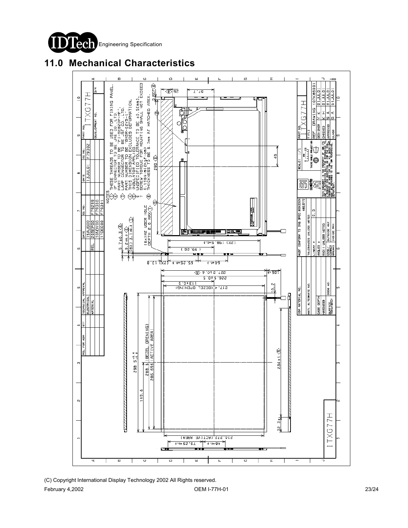

## **11.0 Mechanical Characteristics**



(C) Copyright International Display Technology 2002 All Rights reserved. February 4,2002 OEM I-77H-01 23/24